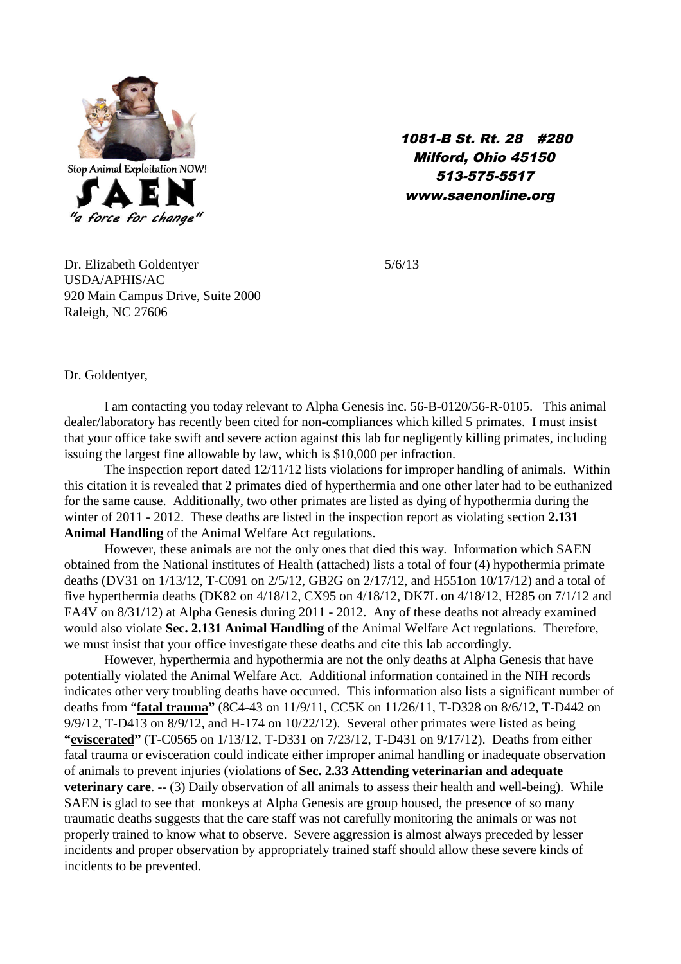

1081-B St. Rt. 28 #280 Milford, Ohio 45150 513-575-5517 www.saenonline.org

Dr. Elizabeth Goldentyer 5/6/13 USDA/APHIS/AC 920 Main Campus Drive, Suite 2000 Raleigh, NC 27606

Dr. Goldentyer,

I am contacting you today relevant to Alpha Genesis inc. 56-B-0120/56-R-0105. This animal dealer/laboratory has recently been cited for non-compliances which killed 5 primates. I must insist that your office take swift and severe action against this lab for negligently killing primates, including issuing the largest fine allowable by law, which is \$10,000 per infraction.

The inspection report dated 12/11/12 lists violations for improper handling of animals. Within this citation it is revealed that 2 primates died of hyperthermia and one other later had to be euthanized for the same cause. Additionally, two other primates are listed as dying of hypothermia during the winter of 2011 - 2012. These deaths are listed in the inspection report as violating section **2.131 Animal Handling** of the Animal Welfare Act regulations.

However, these animals are not the only ones that died this way. Information which SAEN obtained from the National institutes of Health (attached) lists a total of four (4) hypothermia primate deaths (DV31 on 1/13/12, T-C091 on 2/5/12, GB2G on 2/17/12, and H551on 10/17/12) and a total of five hyperthermia deaths (DK82 on 4/18/12, CX95 on 4/18/12, DK7L on 4/18/12, H285 on 7/1/12 and FA4V on 8/31/12) at Alpha Genesis during 2011 - 2012. Any of these deaths not already examined would also violate **Sec. 2.131 Animal Handling** of the Animal Welfare Act regulations. Therefore, we must insist that your office investigate these deaths and cite this lab accordingly.

However, hyperthermia and hypothermia are not the only deaths at Alpha Genesis that have potentially violated the Animal Welfare Act. Additional information contained in the NIH records indicates other very troubling deaths have occurred. This information also lists a significant number of deaths from "**fatal trauma"** (8C4-43 on 11/9/11, CC5K on 11/26/11, T-D328 on 8/6/12, T-D442 on 9/9/12, T-D413 on 8/9/12, and H-174 on 10/22/12). Several other primates were listed as being **"eviscerated"** (T-C0565 on 1/13/12, T-D331 on 7/23/12, T-D431 on 9/17/12). Deaths from either fatal trauma or evisceration could indicate either improper animal handling or inadequate observation of animals to prevent injuries (violations of **Sec. 2.33 Attending veterinarian and adequate veterinary care.** -- (3) Daily observation of all animals to assess their health and well-being). While SAEN is glad to see that monkeys at Alpha Genesis are group housed, the presence of so many traumatic deaths suggests that the care staff was not carefully monitoring the animals or was not properly trained to know what to observe. Severe aggression is almost always preceded by lesser incidents and proper observation by appropriately trained staff should allow these severe kinds of incidents to be prevented.